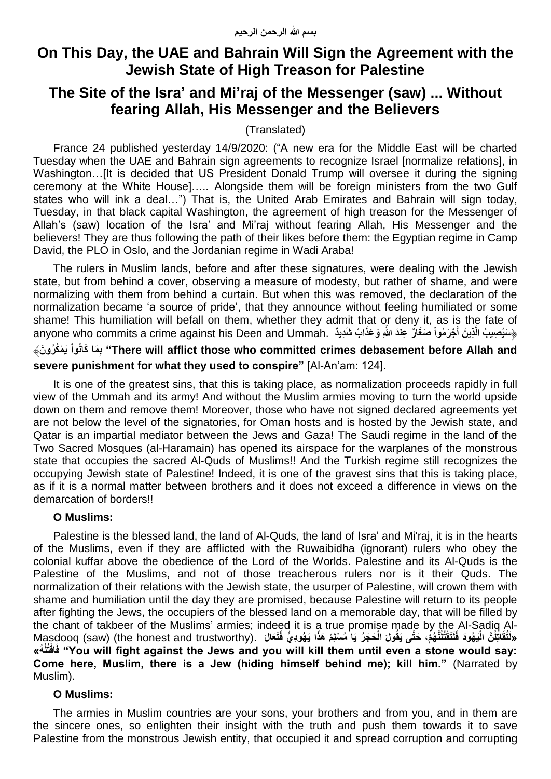# **On This Day, the UAE and Bahrain Will Sign the Agreement with the Jewish State of High Treason for Palestine**

## **The Site of the Isra' and Mi'raj of the Messenger (saw) ... Without fearing Allah, His Messenger and the Believers**

(Translated)

France 24 published yesterday 14/9/2020: ("A new era for the Middle East will be charted Tuesday when the UAE and Bahrain sign agreements to recognize Israel [normalize relations], in Washington...[It is decided that US President Donald Trump will oversee it during the signing ceremony at the White House]….. Alongside them will be foreign ministers from the two Gulf states who will ink a deal…") That is, the United Arab Emirates and Bahrain will sign today, Tuesday, in that black capital Washington, the agreement of high treason for the Messenger of Allah's (saw) location of the Isra' and Mi'raj without fearing Allah, His Messenger and the believers! They are thus following the path of their likes before them: the Egyptian regime in Camp David, the PLO in Oslo, and the Jordanian regime in Wadi Araba!

The rulers in Muslim lands, before and after these signatures, were dealing with the Jewish state, but from behind a cover, observing a measure of modesty, but rather of shame, and were normalizing with them from behind a curtain. But when this was removed, the declaration of the normalization became 'a source of pride', that they announce without feeling humiliated or some shame! This humiliation will befall on them, whether they admit that or deny it, as is the fate of anyone who commits a crime against his Deen and Ummah. يَا اللَّذِينَ أَجْرَمُواْ صَغَارٌ عِنْدَ اللَّهِ وَعَذَابٌ شَدِيدٌ anyone who commits a crime against his Deen and Ummah. **َ**

**َما َكاُنوْا َي ْم ُكُرو َن ِ** ﴾ **ب" There will afflict those who committed crimes debasement before Allah and severe punishment for what they used to conspire"** [Al-An'am: 124].

It is one of the greatest sins, that this is taking place, as normalization proceeds rapidly in full view of the Ummah and its army! And without the Muslim armies moving to turn the world upside down on them and remove them! Moreover, those who have not signed declared agreements yet are not below the level of the signatories, for Oman hosts and is hosted by the Jewish state, and Qatar is an impartial mediator between the Jews and Gaza! The Saudi regime in the land of the Two Sacred Mosques (al-Haramain) has opened its airspace for the warplanes of the monstrous state that occupies the sacred Al-Quds of Muslims!! And the Turkish regime still recognizes the occupying Jewish state of Palestine! Indeed, it is one of the gravest sins that this is taking place, as if it is a normal matter between brothers and it does not exceed a difference in views on the demarcation of borders!!

### **O Muslims:**

Palestine is the blessed land, the land of Al-Quds, the land of Isra' and Mi'raj, it is in the hearts of the Muslims, even if they are afflicted with the Ruwaibidha (ignorant) rulers who obey the colonial kuffar above the obedience of the Lord of the Worlds. Palestine and its Al-Quds is the Palestine of the Muslims, and not of those treacherous rulers nor is it their Quds. The normalization of their relations with the Jewish state, the usurper of Palestine, will crown them with shame and humiliation until the day they are promised, because Palestine will return to its people after fighting the Jews, the occupiers of the blessed land on a memorable day, that will be filled by the chant of takbeer of the Muslims' armies; indeed it is a true promise made by the Al-Sadiq Al-سَنُقَاتِلُنَّ الْيَهُودَ فَلَتَقْتُلُنَّهُمْ، حَتَّى يَقُولَ الْحَجَرُ يَا مُسْلِمُ هَذَا يَهُودِيٍّ فَتَعَالَ .(Masdooq (saw) (the honest and trustworthy) **ُه ُتلْ اقْ َ » ف" You will fight against the Jews and you will kill them until even a stone would say: Come here, Muslim, there is a Jew (hiding himself behind me); kill him."** (Narrated by Muslim).

### **O Muslims:**

The armies in Muslim countries are your sons, your brothers and from you, and in them are the sincere ones, so enlighten their insight with the truth and push them towards it to save Palestine from the monstrous Jewish entity, that occupied it and spread corruption and corrupting